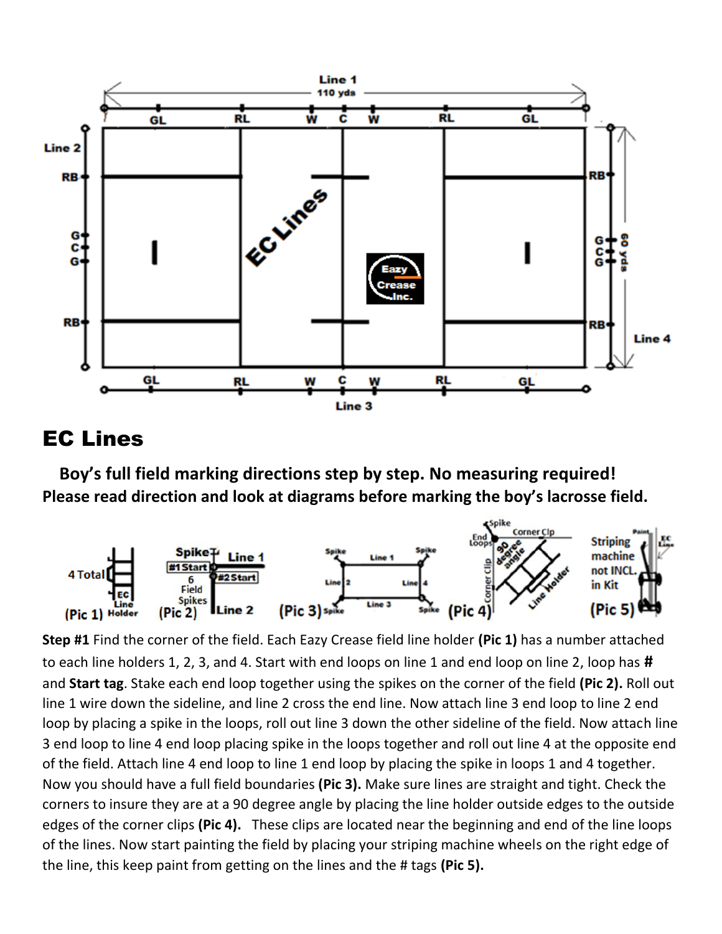

## EC Lines

 **Boy's full field marking directions step by step. No measuring required! Please read direction and look at diagrams before marking the boy's lacrosse field.**



**Step #1** Find the corner of the field. Each Eazy Crease field line holder **(Pic 1)** has a number attached to each line holders 1, 2, 3, and 4. Start with end loops on line 1 and end loop on line 2, loop has **#** and **Start tag**. Stake each end loop together using the spikes on the corner of the field **(Pic 2).** Roll out line 1 wire down the sideline, and line 2 cross the end line. Now attach line 3 end loop to line 2 end loop by placing a spike in the loops, roll out line 3 down the other sideline of the field. Now attach line 3 end loop to line 4 end loop placing spike in the loops together and roll out line 4 at the opposite end of the field. Attach line 4 end loop to line 1 end loop by placing the spike in loops 1 and 4 together. Now you should have a full field boundaries **(Pic 3).** Make sure lines are straight and tight. Check the corners to insure they are at a 90 degree angle by placing the line holder outside edges to the outside edges of the corner clips **(Pic 4).** These clips are located near the beginning and end of the line loops of the lines. Now start painting the field by placing your striping machine wheels on the right edge of the line, this keep paint from getting on the lines and the # tags **(Pic 5).**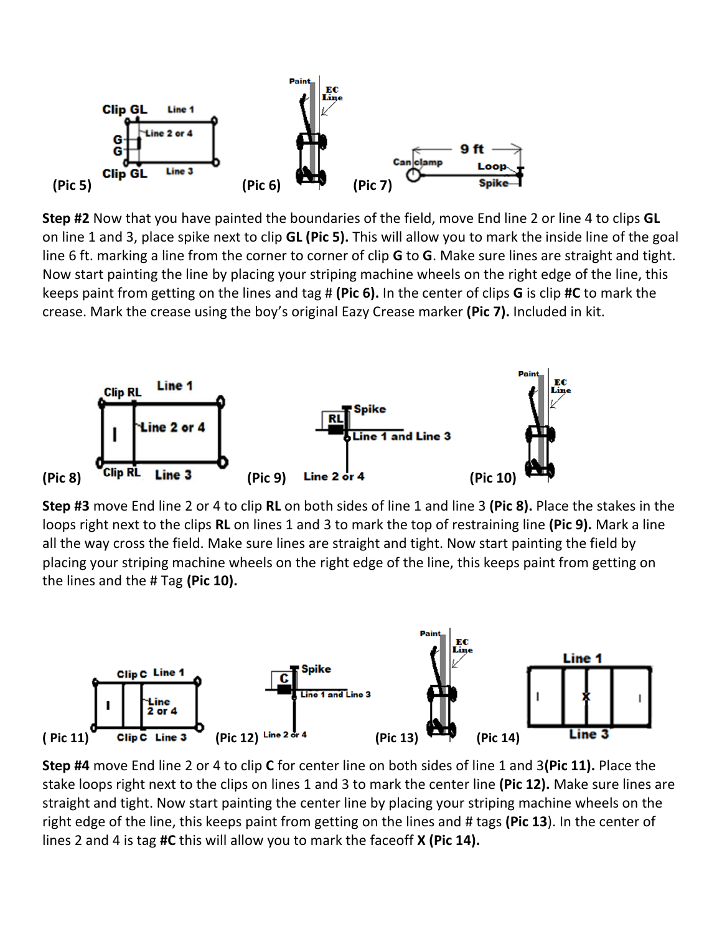

**Step #2** Now that you have painted the boundaries of the field, move End line 2 or line 4 to clips **GL** on line 1 and 3, place spike next to clip **GL (Pic 5).** This will allow you to mark the inside line of the goal line 6 ft. marking a line from the corner to corner of clip **G** to **G**. Make sure lines are straight and tight. Now start painting the line by placing your striping machine wheels on the right edge of the line, this keeps paint from getting on the lines and tag # **(Pic 6).** In the center of clips **G** is clip **#C** to mark the crease. Mark the crease using the boy's original Eazy Crease marker **(Pic 7).** Included in kit.



**Step #3** move End line 2 or 4 to clip **RL** on both sides of line 1 and line 3 **(Pic 8).** Place the stakes in the loops right next to the clips **RL** on lines 1 and 3 to mark the top of restraining line **(Pic 9).** Mark a line all the way cross the field. Make sure lines are straight and tight. Now start painting the field by placing your striping machine wheels on the right edge of the line, this keeps paint from getting on the lines and the # Tag **(Pic 10).**



**Step #4** move End line 2 or 4 to clip **C** for center line on both sides of line 1 and 3**(Pic 11).** Place the stake loops right next to the clips on lines 1 and 3 to mark the center line **(Pic 12).** Make sure lines are straight and tight. Now start painting the center line by placing your striping machine wheels on the right edge of the line, this keeps paint from getting on the lines and # tags **(Pic 13**). In the center of lines 2 and 4 is tag **#C** this will allow you to mark the faceoff **X (Pic 14).**